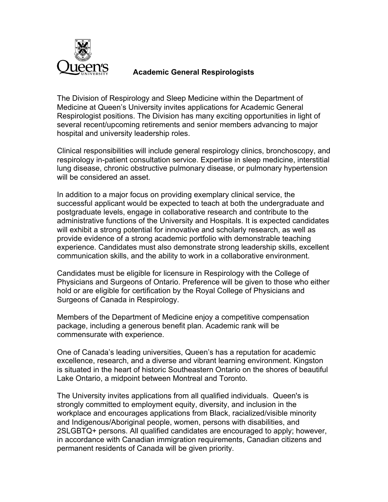

## **Academic General Respirologists**

The Division of Respirology and Sleep Medicine within the Department of Medicine at Queen's University invites applications for Academic General Respirologist positions. The Division has many exciting opportunities in light of several recent/upcoming retirements and senior members advancing to major hospital and university leadership roles.

Clinical responsibilities will include general respirology clinics, bronchoscopy, and respirology in-patient consultation service. Expertise in sleep medicine, interstitial lung disease, chronic obstructive pulmonary disease, or pulmonary hypertension will be considered an asset.

In addition to a major focus on providing exemplary clinical service, the successful applicant would be expected to teach at both the undergraduate and postgraduate levels, engage in collaborative research and contribute to the administrative functions of the University and Hospitals. It is expected candidates will exhibit a strong potential for innovative and scholarly research, as well as provide evidence of a strong academic portfolio with demonstrable teaching experience. Candidates must also demonstrate strong leadership skills, excellent communication skills, and the ability to work in a collaborative environment.

Candidates must be eligible for licensure in Respirology with the College of Physicians and Surgeons of Ontario. Preference will be given to those who either hold or are eligible for certification by the Royal College of Physicians and Surgeons of Canada in Respirology.

Members of the Department of Medicine enjoy a competitive compensation package, including a generous benefit plan. Academic rank will be commensurate with experience.

One of Canada's leading universities, Queen's has a reputation for academic excellence, research, and a diverse and vibrant learning environment. Kingston is situated in the heart of historic Southeastern Ontario on the shores of beautiful Lake Ontario, a midpoint between Montreal and Toronto.

The University invites applications from all qualified individuals. Queen's is strongly committed to employment equity, diversity, and inclusion in the workplace and encourages applications from Black, racialized/visible minority and Indigenous/Aboriginal people, women, persons with disabilities, and 2SLGBTQ+ persons. All qualified candidates are encouraged to apply; however, in accordance with Canadian immigration requirements, Canadian citizens and permanent residents of Canada will be given priority.